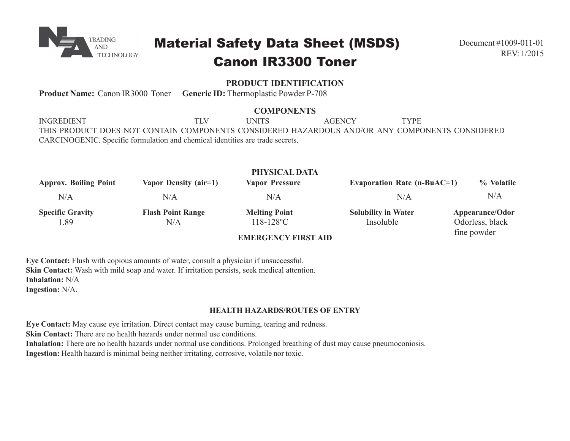

# Material Safety Data Sheet (MSDS) Canon IR3300 Toner

# **PRODUCT IDENTIFICATION**

**Product Name:** Canon IR3000 Toner **Generic ID:** Thermoplastic Powder P-708

## **COMPONENTS**

INGREDIENT TLV UNITS AGENCY TYPE THIS PRODUCT DOES NOT CONTAIN COMPONENTS CONSIDERED HAZARDOUS AND/OR ANY COMPONENTS CONSIDERED CARCINOGENIC. Specific formulation and chemical identities are trade secrets.

| PHYSICAL DATA                |                          |                            |                               |                 |  |
|------------------------------|--------------------------|----------------------------|-------------------------------|-----------------|--|
| <b>Approx. Boiling Point</b> | Vapor Density (air=1)    | <b>Vapor Pressure</b>      | Evaporation Rate $(n-BuAC=1)$ | % Volatile      |  |
| N/A                          | N/A                      | N/A                        | N/A                           | N/A             |  |
| <b>Specific Gravity</b>      | <b>Flash Point Range</b> | <b>Melting Point</b>       | <b>Solubility in Water</b>    | Appearance/Odor |  |
| 1.89                         | N/A                      | $118 - 128$ °C             | Insoluble                     | Odorless, black |  |
|                              |                          | <b>EMERGEMOV EIRGE AIR</b> |                               | fine powder     |  |

# **EMERGENCY FIRST AID**

**Eye Contact:** Flush with copious amounts of water, consult a physician if unsuccessful. **Skin Contact:** Wash with mild soap and water. If irritation persists, seek medical attention. **Inhalation:** N/A **Ingestion:** N/A.

**HEALTH HAZARDS/ROUTES OF ENTRY**

**Eye Contact:** May cause eye irritation. Direct contact may cause burning, tearing and redness. **Skin Contact:** There are no health hazards under normal use conditions. **Inhalation:** There are no health hazards under normal use conditions. Prolonged breathing of dust may cause pneumoconiosis. **Ingestion:** Health hazard is minimal being neither irritating, corrosive, volatile nor toxic.